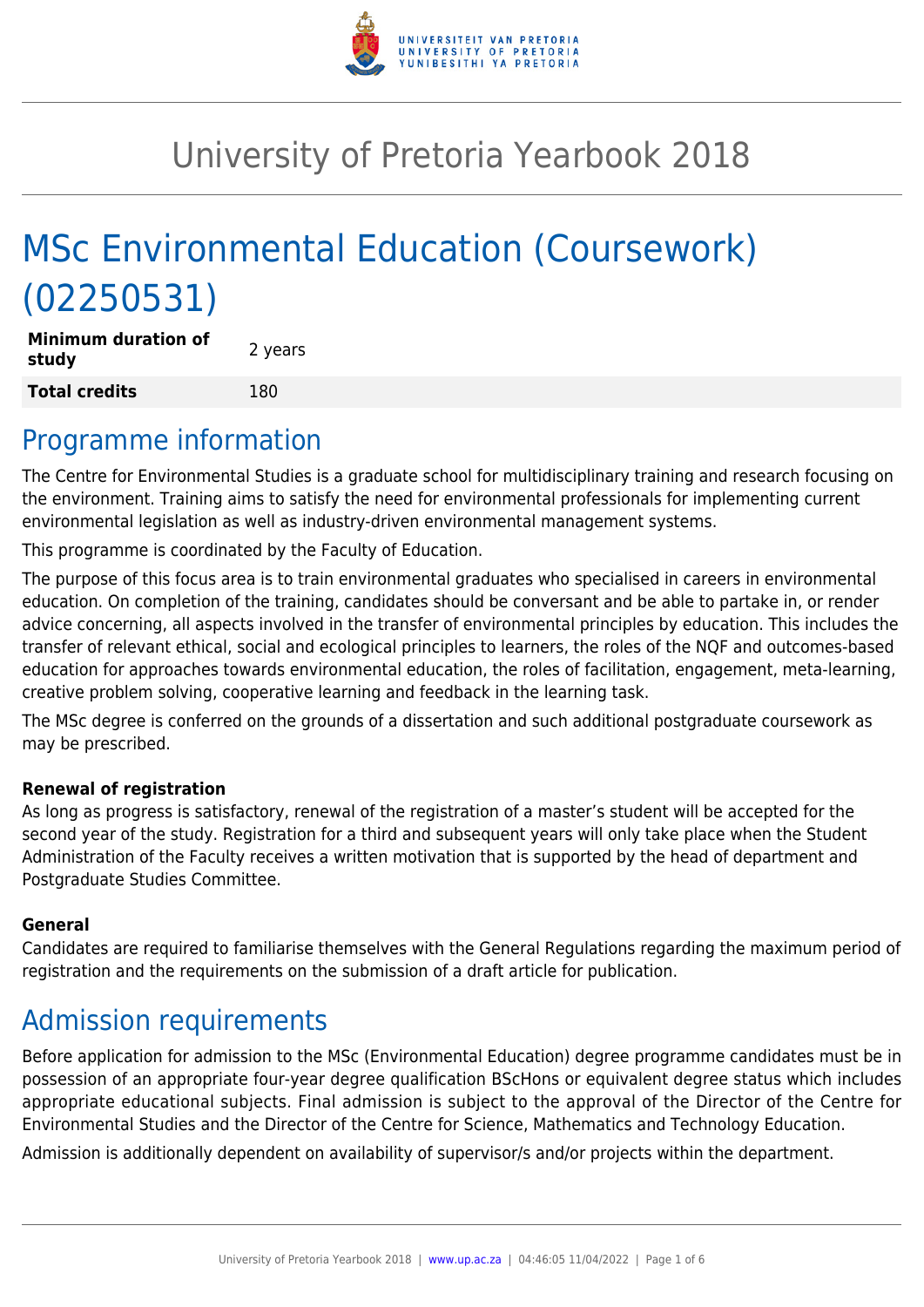

# University of Pretoria Yearbook 2018

# MSc Environmental Education (Coursework) (02250531)

**Minimum duration of study and all study 2** years **Total credits** 180

### Programme information

The Centre for Environmental Studies is a graduate school for multidisciplinary training and research focusing on the environment. Training aims to satisfy the need for environmental professionals for implementing current environmental legislation as well as industry-driven environmental management systems.

This programme is coordinated by the Faculty of Education.

The purpose of this focus area is to train environmental graduates who specialised in careers in environmental education. On completion of the training, candidates should be conversant and be able to partake in, or render advice concerning, all aspects involved in the transfer of environmental principles by education. This includes the transfer of relevant ethical, social and ecological principles to learners, the roles of the NQF and outcomes-based education for approaches towards environmental education, the roles of facilitation, engagement, meta-learning, creative problem solving, cooperative learning and feedback in the learning task.

The MSc degree is conferred on the grounds of a dissertation and such additional postgraduate coursework as may be prescribed.

#### **Renewal of registration**

As long as progress is satisfactory, renewal of the registration of a master's student will be accepted for the second year of the study. Registration for a third and subsequent years will only take place when the Student Administration of the Faculty receives a written motivation that is supported by the head of department and Postgraduate Studies Committee.

#### **General**

Candidates are required to familiarise themselves with the General Regulations regarding the maximum period of registration and the requirements on the submission of a draft article for publication.

### Admission requirements

Before application for admission to the MSc (Environmental Education) degree programme candidates must be in possession of an appropriate four-year degree qualification BScHons or equivalent degree status which includes appropriate educational subjects. Final admission is subject to the approval of the Director of the Centre for Environmental Studies and the Director of the Centre for Science, Mathematics and Technology Education.

Admission is additionally dependent on availability of supervisor/s and/or projects within the department.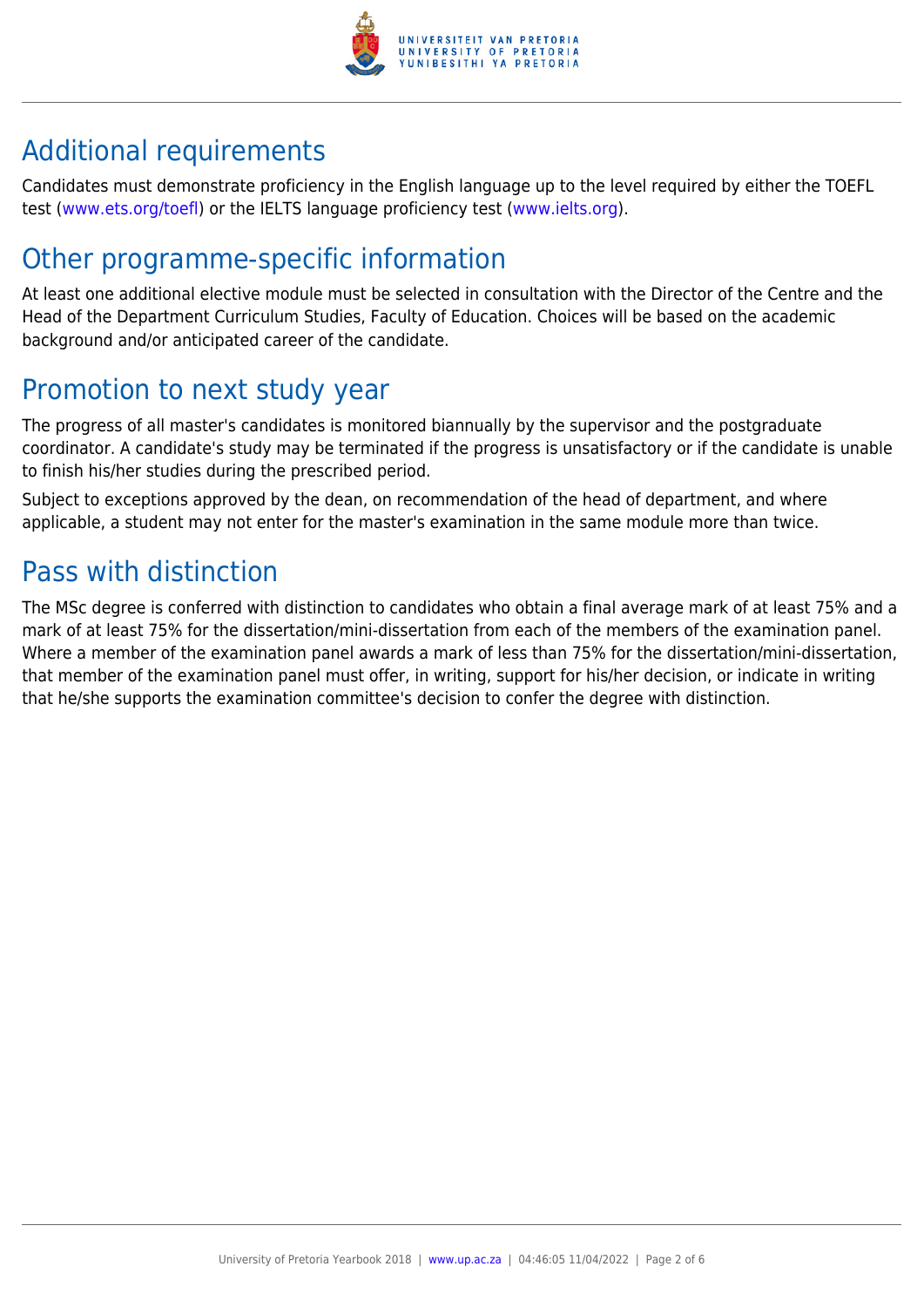

## Additional requirements

Candidates must demonstrate proficiency in the English language up to the level required by either the TOEFL test [\(www.ets.org/toefl\)](http://www.ets.org/toefl) or the IELTS language proficiency test ([www.ielts.org](http://www.ielts.org)).

## Other programme-specific information

At least one additional elective module must be selected in consultation with the Director of the Centre and the Head of the Department Curriculum Studies, Faculty of Education. Choices will be based on the academic background and/or anticipated career of the candidate.

## Promotion to next study year

The progress of all master's candidates is monitored biannually by the supervisor and the postgraduate coordinator. A candidate's study may be terminated if the progress is unsatisfactory or if the candidate is unable to finish his/her studies during the prescribed period.

Subject to exceptions approved by the dean, on recommendation of the head of department, and where applicable, a student may not enter for the master's examination in the same module more than twice.

## Pass with distinction

The MSc degree is conferred with distinction to candidates who obtain a final average mark of at least 75% and a mark of at least 75% for the dissertation/mini-dissertation from each of the members of the examination panel. Where a member of the examination panel awards a mark of less than 75% for the dissertation/mini-dissertation, that member of the examination panel must offer, in writing, support for his/her decision, or indicate in writing that he/she supports the examination committee's decision to confer the degree with distinction.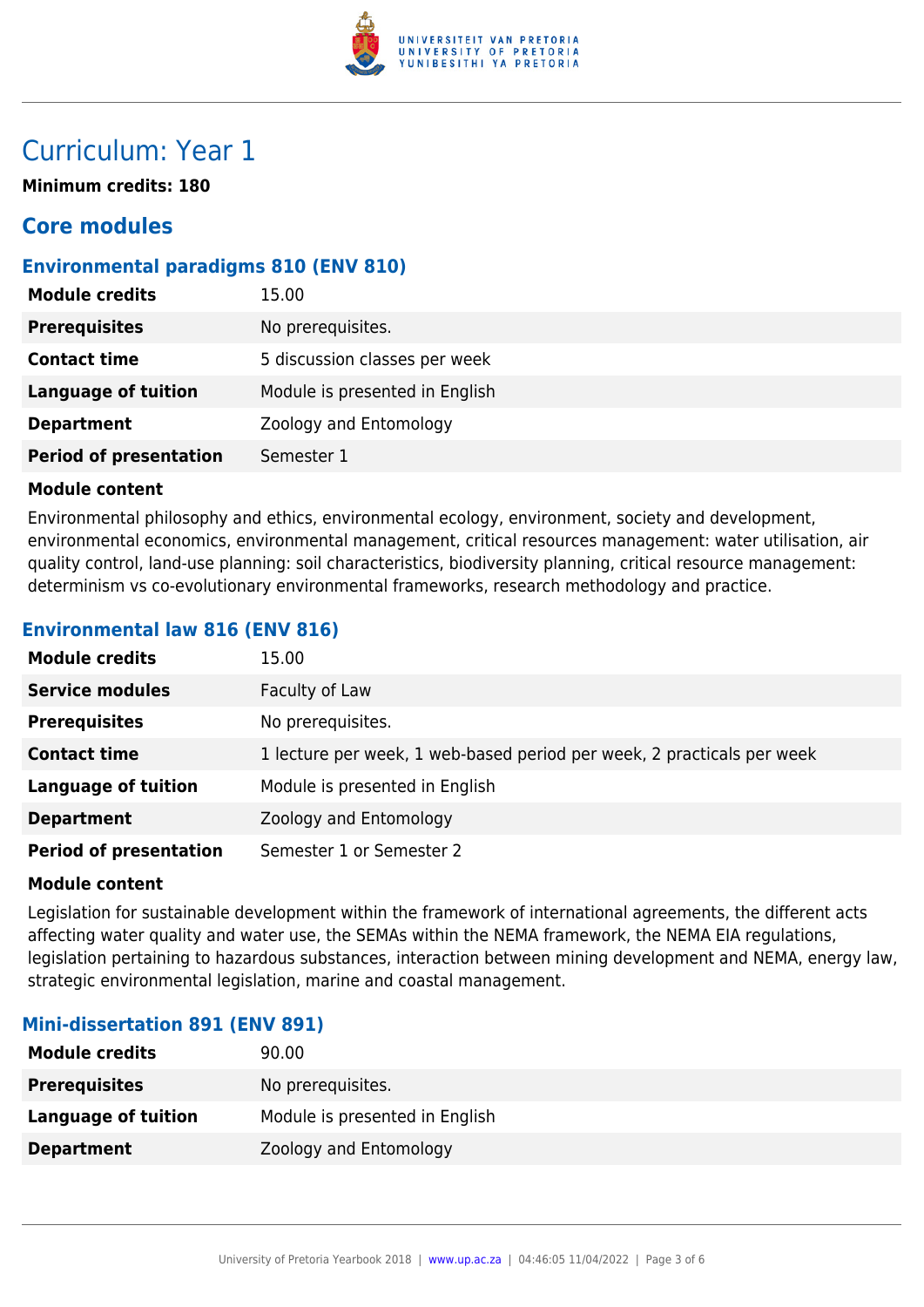

### Curriculum: Year 1

**Minimum credits: 180**

### **Core modules**

#### **Environmental paradigms 810 (ENV 810)**

| <b>Module credits</b>         | 15.00                          |
|-------------------------------|--------------------------------|
| <b>Prerequisites</b>          | No prerequisites.              |
| <b>Contact time</b>           | 5 discussion classes per week  |
| <b>Language of tuition</b>    | Module is presented in English |
| <b>Department</b>             | Zoology and Entomology         |
| <b>Period of presentation</b> | Semester 1                     |

#### **Module content**

Environmental philosophy and ethics, environmental ecology, environment, society and development, environmental economics, environmental management, critical resources management: water utilisation, air quality control, land-use planning: soil characteristics, biodiversity planning, critical resource management: determinism vs co-evolutionary environmental frameworks, research methodology and practice.

#### **Environmental law 816 (ENV 816)**

| <b>Module credits</b>         | 15.00                                                                  |
|-------------------------------|------------------------------------------------------------------------|
| <b>Service modules</b>        | Faculty of Law                                                         |
| <b>Prerequisites</b>          | No prerequisites.                                                      |
| <b>Contact time</b>           | 1 lecture per week, 1 web-based period per week, 2 practicals per week |
| <b>Language of tuition</b>    | Module is presented in English                                         |
| <b>Department</b>             | Zoology and Entomology                                                 |
| <b>Period of presentation</b> | Semester 1 or Semester 2                                               |

#### **Module content**

Legislation for sustainable development within the framework of international agreements, the different acts affecting water quality and water use, the SEMAs within the NEMA framework, the NEMA EIA regulations, legislation pertaining to hazardous substances, interaction between mining development and NEMA, energy law, strategic environmental legislation, marine and coastal management.

#### **Mini-dissertation 891 (ENV 891)**

| <b>Module credits</b> | 90.00                          |
|-----------------------|--------------------------------|
| <b>Prerequisites</b>  | No prerequisites.              |
| Language of tuition   | Module is presented in English |
| <b>Department</b>     | Zoology and Entomology         |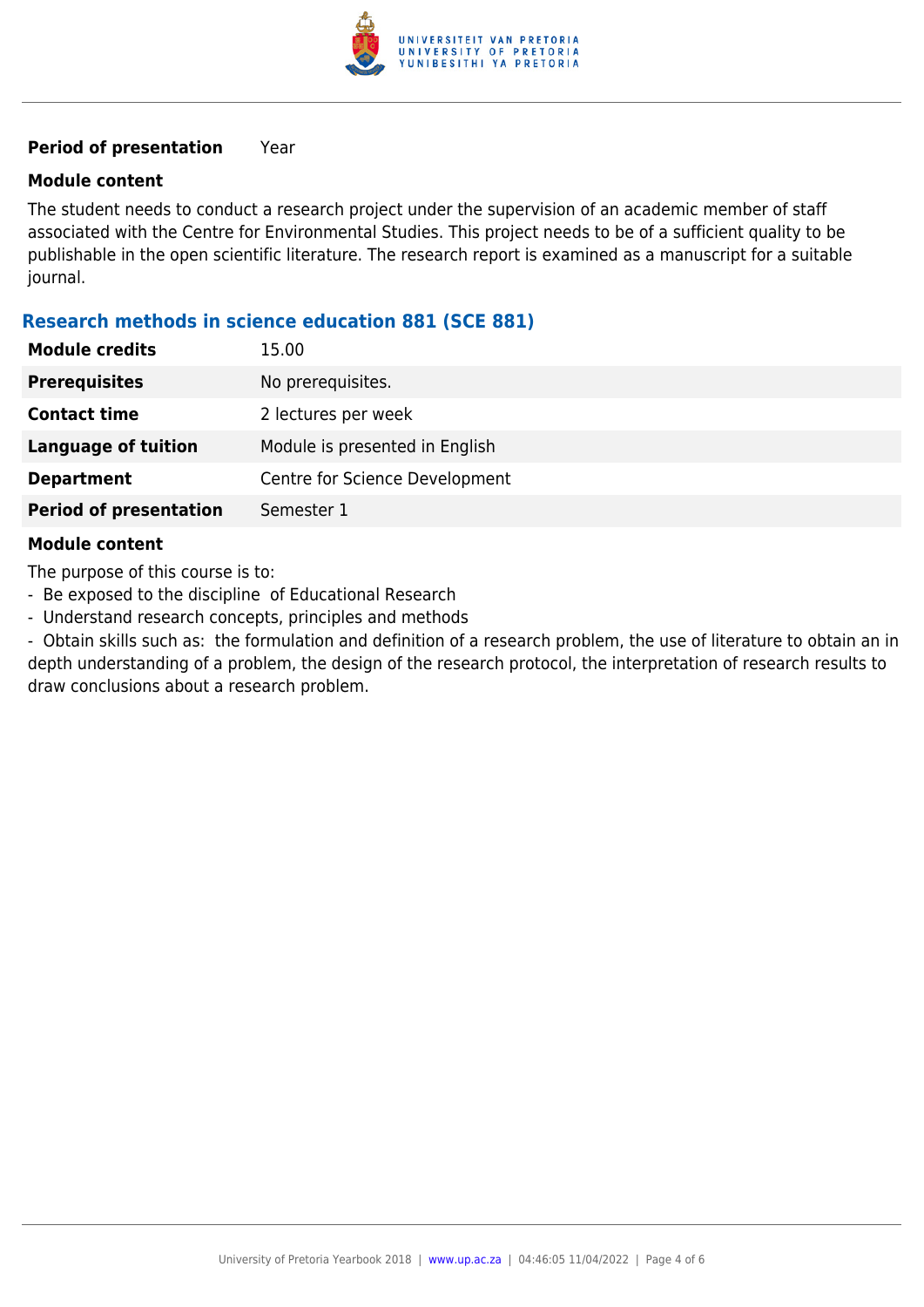

#### **Period of presentation** Year

#### **Module content**

The student needs to conduct a research project under the supervision of an academic member of staff associated with the Centre for Environmental Studies. This project needs to be of a sufficient quality to be publishable in the open scientific literature. The research report is examined as a manuscript for a suitable journal.

#### **Research methods in science education 881 (SCE 881)**

| <b>Module credits</b>         | 15.00                          |
|-------------------------------|--------------------------------|
| <b>Prerequisites</b>          | No prerequisites.              |
| <b>Contact time</b>           | 2 lectures per week            |
| <b>Language of tuition</b>    | Module is presented in English |
| <b>Department</b>             | Centre for Science Development |
| <b>Period of presentation</b> | Semester 1                     |
|                               |                                |

#### **Module content**

The purpose of this course is to:

- Be exposed to the discipline of Educational Research
- Understand research concepts, principles and methods

- Obtain skills such as: the formulation and definition of a research problem, the use of literature to obtain an in depth understanding of a problem, the design of the research protocol, the interpretation of research results to draw conclusions about a research problem.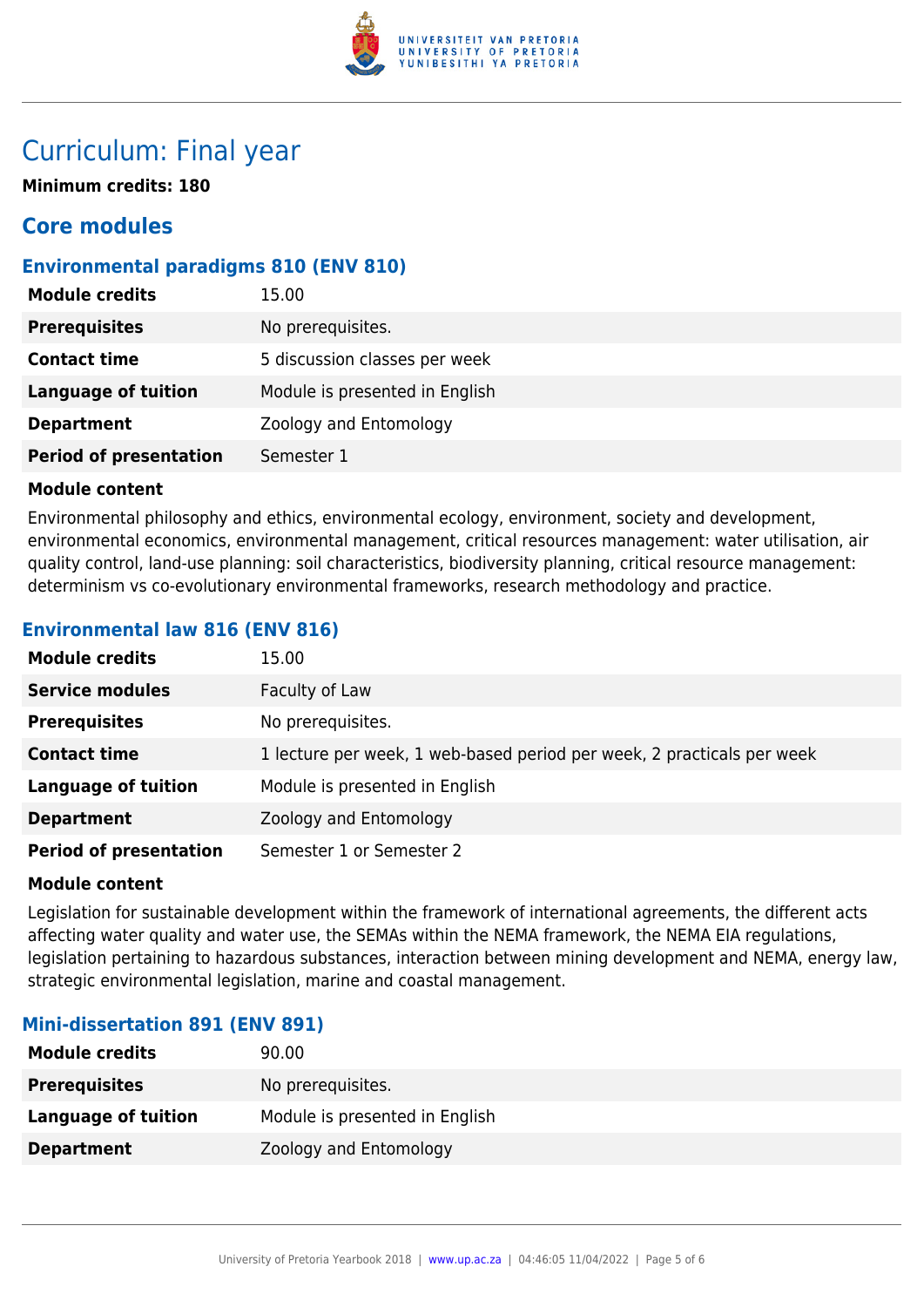

### Curriculum: Final year

**Minimum credits: 180**

### **Core modules**

#### **Environmental paradigms 810 (ENV 810)**

| <b>Module credits</b>         | 15.00                          |
|-------------------------------|--------------------------------|
| <b>Prerequisites</b>          | No prerequisites.              |
| <b>Contact time</b>           | 5 discussion classes per week  |
| <b>Language of tuition</b>    | Module is presented in English |
| <b>Department</b>             | Zoology and Entomology         |
| <b>Period of presentation</b> | Semester 1                     |

#### **Module content**

Environmental philosophy and ethics, environmental ecology, environment, society and development, environmental economics, environmental management, critical resources management: water utilisation, air quality control, land-use planning: soil characteristics, biodiversity planning, critical resource management: determinism vs co-evolutionary environmental frameworks, research methodology and practice.

#### **Environmental law 816 (ENV 816)**

| <b>Module credits</b>         | 15.00                                                                  |
|-------------------------------|------------------------------------------------------------------------|
| <b>Service modules</b>        | Faculty of Law                                                         |
| <b>Prerequisites</b>          | No prerequisites.                                                      |
| <b>Contact time</b>           | 1 lecture per week, 1 web-based period per week, 2 practicals per week |
| <b>Language of tuition</b>    | Module is presented in English                                         |
| <b>Department</b>             | Zoology and Entomology                                                 |
| <b>Period of presentation</b> | Semester 1 or Semester 2                                               |

#### **Module content**

Legislation for sustainable development within the framework of international agreements, the different acts affecting water quality and water use, the SEMAs within the NEMA framework, the NEMA EIA regulations, legislation pertaining to hazardous substances, interaction between mining development and NEMA, energy law, strategic environmental legislation, marine and coastal management.

#### **Mini-dissertation 891 (ENV 891)**

| <b>Module credits</b> | 90.00                          |
|-----------------------|--------------------------------|
| <b>Prerequisites</b>  | No prerequisites.              |
| Language of tuition   | Module is presented in English |
| <b>Department</b>     | Zoology and Entomology         |